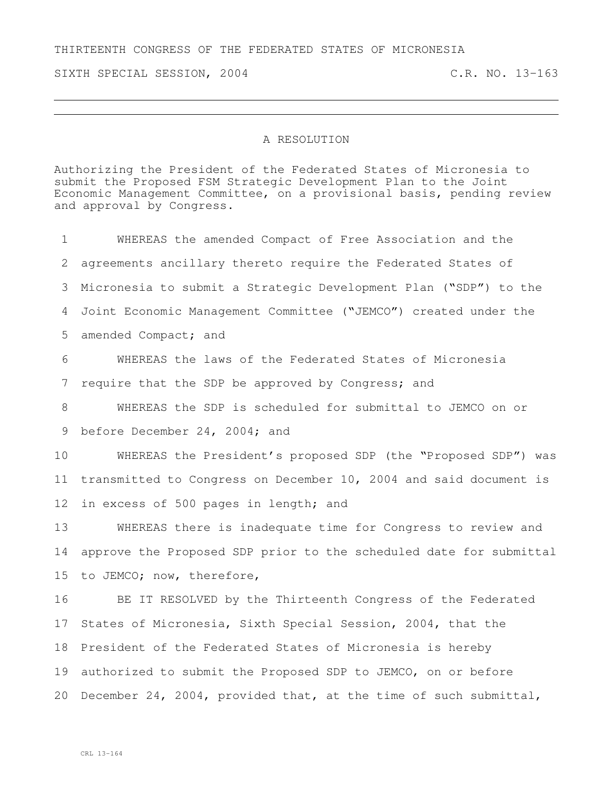THIRTEENTH CONGRESS OF THE FEDERATED STATES OF MICRONESIA

SIXTH SPECIAL SESSION, 2004 C.R. NO. 13-163

## A RESOLUTION

Authorizing the President of the Federated States of Micronesia to submit the Proposed FSM Strategic Development Plan to the Joint Economic Management Committee, on a provisional basis, pending review and approval by Congress.

 WHEREAS the amended Compact of Free Association and the agreements ancillary thereto require the Federated States of Micronesia to submit a Strategic Development Plan ("SDP") to the Joint Economic Management Committee ("JEMCO") created under the amended Compact; and WHEREAS the laws of the Federated States of Micronesia 7 require that the SDP be approved by Congress; and WHEREAS the SDP is scheduled for submittal to JEMCO on or before December 24, 2004; and WHEREAS the President's proposed SDP (the "Proposed SDP") was transmitted to Congress on December 10, 2004 and said document is in excess of 500 pages in length; and WHEREAS there is inadequate time for Congress to review and approve the Proposed SDP prior to the scheduled date for submittal to JEMCO; now, therefore, BE IT RESOLVED by the Thirteenth Congress of the Federated States of Micronesia, Sixth Special Session, 2004, that the President of the Federated States of Micronesia is hereby authorized to submit the Proposed SDP to JEMCO, on or before December 24, 2004, provided that, at the time of such submittal,